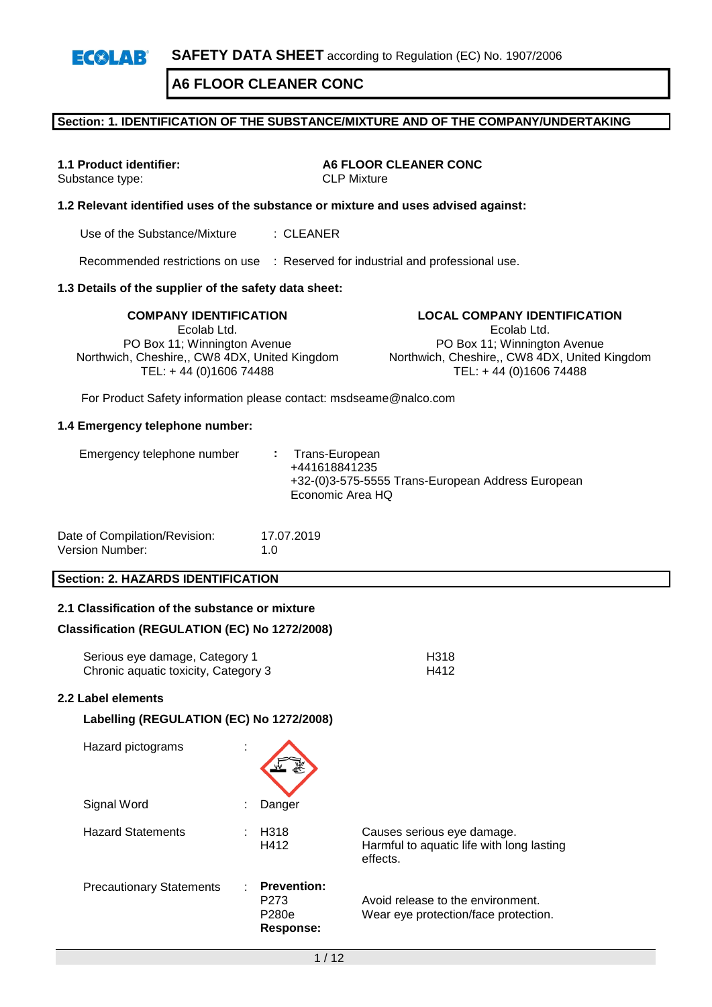### **Section: 1. IDENTIFICATION OF THE SUBSTANCE/MIXTURE AND OF THE COMPANY/UNDERTAKING**

Substance type:

**1.1 Product identifier: A6 FLOOR CLEANER CONC**<br>Substance type: **And CLP** Mixture

### **1.2 Relevant identified uses of the substance or mixture and uses advised against:**

Use of the Substance/Mixture : CLEANER

Recommended restrictions on use : Reserved for industrial and professional use.

### **1.3 Details of the supplier of the safety data sheet:**

**COMPANY IDENTIFICATION LOCAL COMPANY IDENTIFICATION** Ecolab Ltd. PO Box 11; Winnington Avenue Northwich, Cheshire,, CW8 4DX, United Kingdom TEL: + 44 (0)1606 74488

Ecolab Ltd. PO Box 11; Winnington Avenue

Northwich, Cheshire,, CW8 4DX, United Kingdom TEL: + 44 (0)1606 74488

For Product Safety information please contact: msdseame@nalco.com

#### **1.4 Emergency telephone number:**

| Emergency telephone number |  | : Trans-European<br>+441618841235<br>+32-(0)3-575-5555 Trans-European Address European<br>Economic Area HQ |
|----------------------------|--|------------------------------------------------------------------------------------------------------------|
|----------------------------|--|------------------------------------------------------------------------------------------------------------|

| Date of Compilation/Revision: | 17.07.2019  |
|-------------------------------|-------------|
| Version Number:               | 1. $\Omega$ |

### **Section: 2. HAZARDS IDENTIFICATION**

### **2.1 Classification of the substance or mixture**

### **Classification (REGULATION (EC) No 1272/2008)**

**Labelling (REGULATION (EC) No 1272/2008)**

| Serious eye damage, Category 1       | H318 |
|--------------------------------------|------|
| Chronic aquatic toxicity, Category 3 | H412 |

#### **2.2 Label elements**

| Hazard pictograms               |                                                  |                                                                                     |
|---------------------------------|--------------------------------------------------|-------------------------------------------------------------------------------------|
| Signal Word                     | Danger                                           |                                                                                     |
| <b>Hazard Statements</b>        | H <sub>318</sub><br>H412                         | Causes serious eye damage.<br>Harmful to aquatic life with long lasting<br>effects. |
| <b>Precautionary Statements</b> | <b>Prevention:</b><br>P273<br>P280e<br>Response: | Avoid release to the environment.<br>Wear eye protection/face protection.           |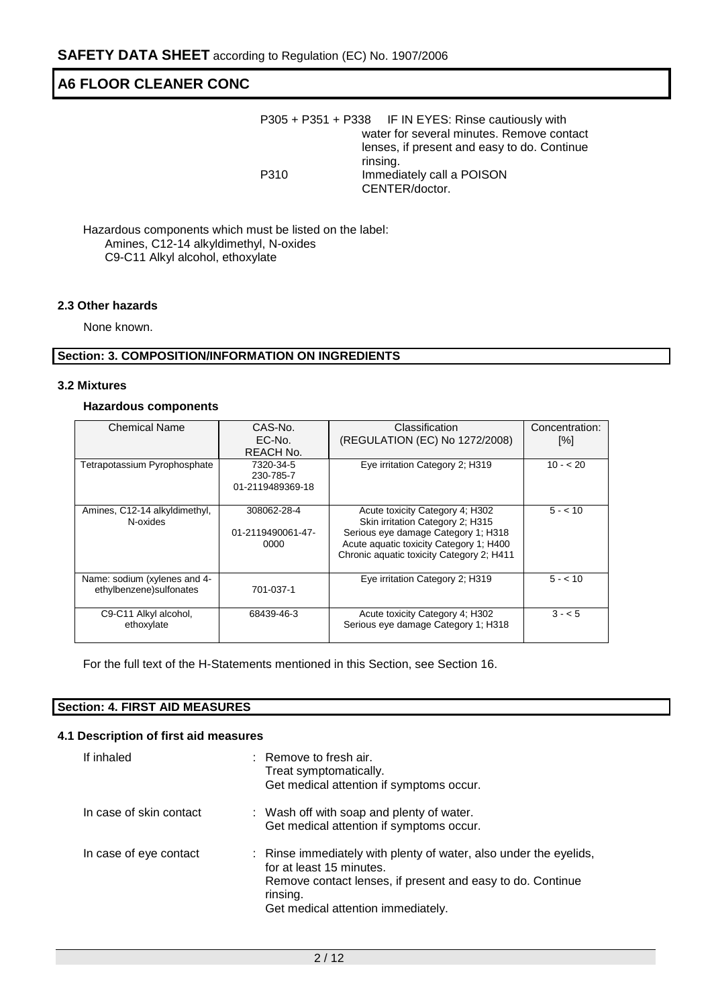|      | P305 + P351 + P338 IF IN EYES: Rinse cautiously with    |
|------|---------------------------------------------------------|
|      | water for several minutes. Remove contact               |
|      | lenses, if present and easy to do. Continue<br>rinsing. |
| P310 | Immediately call a POISON                               |
|      | CENTER/doctor.                                          |

Hazardous components which must be listed on the label: Amines, C12-14 alkyldimethyl, N-oxides C9-C11 Alkyl alcohol, ethoxylate

### **2.3 Other hazards**

None known.

### **Section: 3. COMPOSITION/INFORMATION ON INGREDIENTS**

### **3.2 Mixtures**

### **Hazardous components**

| <b>Chemical Name</b>                                     | CAS-No.<br>EC-No.<br>REACH No.             | Classification<br>(REGULATION (EC) No 1272/2008)                                                                                                                                                   | Concentration:<br>[%] |
|----------------------------------------------------------|--------------------------------------------|----------------------------------------------------------------------------------------------------------------------------------------------------------------------------------------------------|-----------------------|
| Tetrapotassium Pyrophosphate                             | 7320-34-5<br>230-785-7<br>01-2119489369-18 | Eye irritation Category 2; H319                                                                                                                                                                    | $10 - 20$             |
| Amines, C12-14 alkyldimethyl,<br>N-oxides                | 308062-28-4<br>01-2119490061-47-<br>0000   | Acute toxicity Category 4; H302<br>Skin irritation Category 2; H315<br>Serious eye damage Category 1; H318<br>Acute aquatic toxicity Category 1; H400<br>Chronic aquatic toxicity Category 2; H411 | $5 - 10$              |
| Name: sodium (xylenes and 4-<br>ethylbenzene) sulfonates | 701-037-1                                  | Eye irritation Category 2; H319                                                                                                                                                                    | $5 - 10$              |
| C9-C11 Alkyl alcohol,<br>ethoxylate                      | 68439-46-3                                 | Acute toxicity Category 4; H302<br>Serious eye damage Category 1; H318                                                                                                                             | $3 - 5$               |

For the full text of the H-Statements mentioned in this Section, see Section 16.

### **Section: 4. FIRST AID MEASURES**

### **4.1 Description of first aid measures**

| If inhaled              | : Remove to fresh air.<br>Treat symptomatically.<br>Get medical attention if symptoms occur.                                                                                                                  |
|-------------------------|---------------------------------------------------------------------------------------------------------------------------------------------------------------------------------------------------------------|
| In case of skin contact | : Wash off with soap and plenty of water.<br>Get medical attention if symptoms occur.                                                                                                                         |
| In case of eye contact  | : Rinse immediately with plenty of water, also under the eyelids,<br>for at least 15 minutes.<br>Remove contact lenses, if present and easy to do. Continue<br>rinsing.<br>Get medical attention immediately. |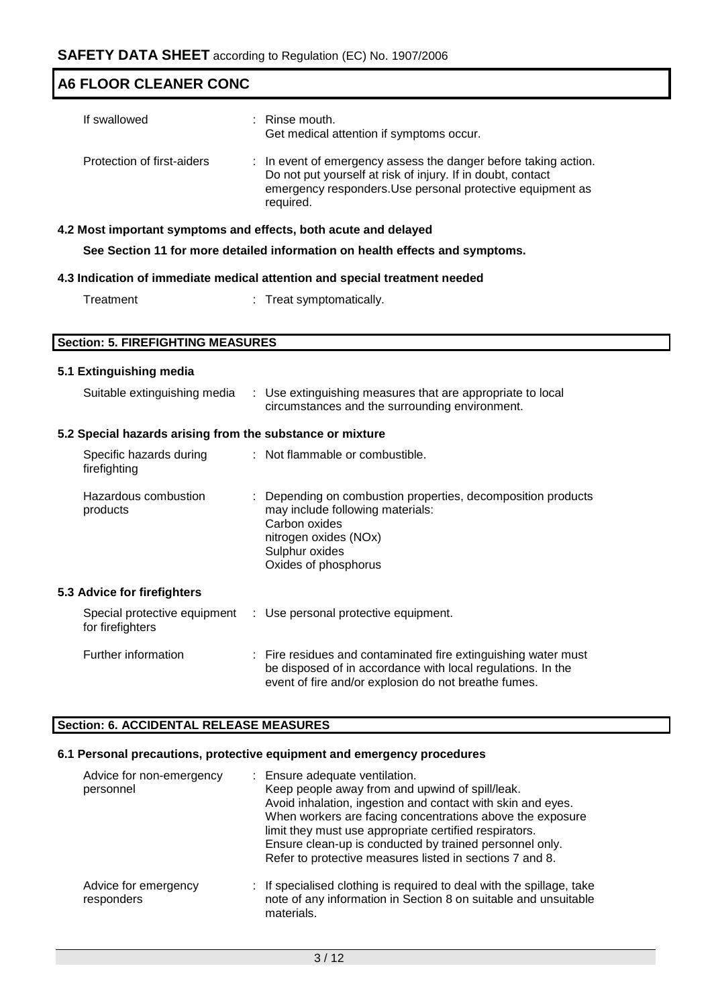| <b>SAFETY DATA SHEET</b> according to Regulation (EC) No. 1907/2006 |                                                                                                                                                                                                           |  |  |  |
|---------------------------------------------------------------------|-----------------------------------------------------------------------------------------------------------------------------------------------------------------------------------------------------------|--|--|--|
| <b>A6 FLOOR CLEANER CONC</b>                                        |                                                                                                                                                                                                           |  |  |  |
| If swallowed                                                        | Rinse mouth.<br>Get medical attention if symptoms occur.                                                                                                                                                  |  |  |  |
| Protection of first-aiders                                          | : In event of emergency assess the danger before taking action.<br>Do not put yourself at risk of injury. If in doubt, contact<br>emergency responders. Use personal protective equipment as<br>required. |  |  |  |
|                                                                     | 4.2 Most important symptoms and effects, both acute and delayed                                                                                                                                           |  |  |  |
|                                                                     | See Section 11 for more detailed information on health effects and symptoms.                                                                                                                              |  |  |  |
|                                                                     | 4.3 Indication of immediate medical attention and special treatment needed                                                                                                                                |  |  |  |
| Treatment                                                           | : Treat symptomatically.                                                                                                                                                                                  |  |  |  |
|                                                                     |                                                                                                                                                                                                           |  |  |  |
| <b>Section: 5. FIREFIGHTING MEASURES</b>                            |                                                                                                                                                                                                           |  |  |  |
| 5.1 Extinguishing media                                             |                                                                                                                                                                                                           |  |  |  |
| Suitable extinguishing media                                        | : Use extinguishing measures that are appropriate to local<br>circumstances and the surrounding environment.                                                                                              |  |  |  |
| 5.2 Special hazards arising from the substance or mixture           |                                                                                                                                                                                                           |  |  |  |
| Specific hazards during<br>firefighting                             | : Not flammable or combustible.                                                                                                                                                                           |  |  |  |
| Hazardous combustion<br>products                                    | Depending on combustion properties, decomposition products<br>may include following materials:<br>Carbon oxides<br>nitrogen oxides (NOx)<br>Sulphur oxides<br>Oxides of phosphorus                        |  |  |  |
| 5.3 Advice for firefighters                                         |                                                                                                                                                                                                           |  |  |  |
| Special protective equipment<br>for firefighters                    | : Use personal protective equipment.                                                                                                                                                                      |  |  |  |
| Further information                                                 | Fire residues and contaminated fire extinguishing water must<br>be disposed of in accordance with local regulations. In the<br>event of fire and/or explosion do not breathe fumes.                       |  |  |  |

### **Section: 6. ACCIDENTAL RELEASE MEASURES**

### **6.1 Personal precautions, protective equipment and emergency procedures**

| Advice for non-emergency<br>personnel | : Ensure adequate ventilation.<br>Keep people away from and upwind of spill/leak.<br>Avoid inhalation, ingestion and contact with skin and eyes.<br>When workers are facing concentrations above the exposure<br>limit they must use appropriate certified respirators.<br>Ensure clean-up is conducted by trained personnel only.<br>Refer to protective measures listed in sections 7 and 8. |
|---------------------------------------|------------------------------------------------------------------------------------------------------------------------------------------------------------------------------------------------------------------------------------------------------------------------------------------------------------------------------------------------------------------------------------------------|
| Advice for emergency<br>responders    | : If specialised clothing is required to deal with the spillage, take<br>note of any information in Section 8 on suitable and unsuitable<br>materials.                                                                                                                                                                                                                                         |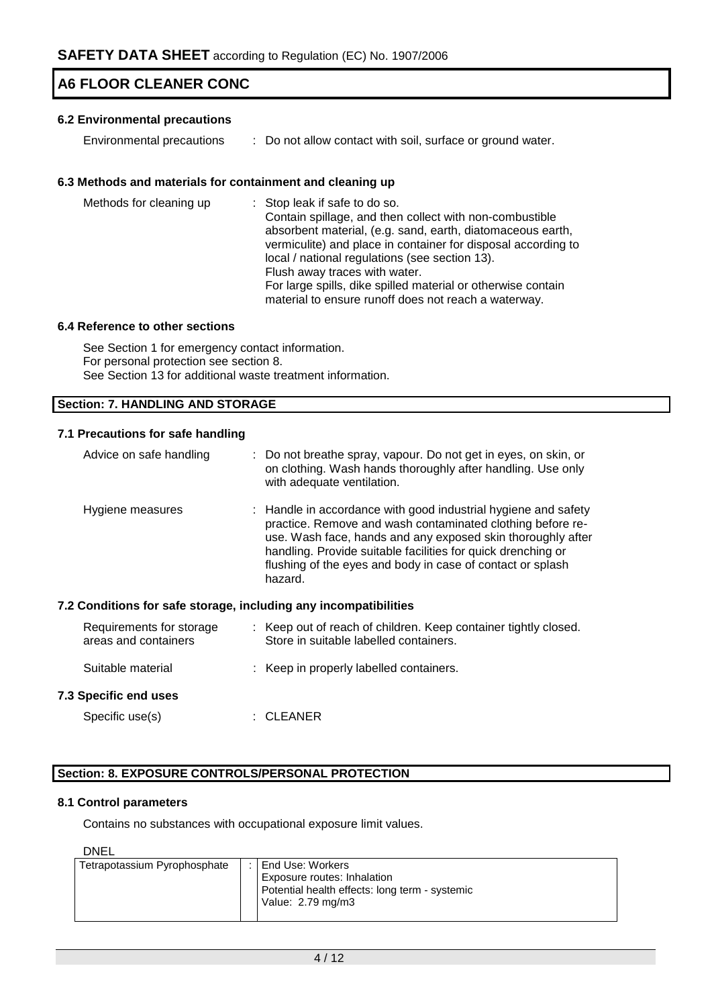### **6.2 Environmental precautions**

Environmental precautions : Do not allow contact with soil, surface or ground water.

### **6.3 Methods and materials for containment and cleaning up**

| Methods for cleaning up | : Stop leak if safe to do so.<br>Contain spillage, and then collect with non-combustible<br>absorbent material, (e.g. sand, earth, diatomaceous earth,<br>vermiculite) and place in container for disposal according to<br>local / national regulations (see section 13).<br>Flush away traces with water.<br>For large spills, dike spilled material or otherwise contain |
|-------------------------|----------------------------------------------------------------------------------------------------------------------------------------------------------------------------------------------------------------------------------------------------------------------------------------------------------------------------------------------------------------------------|
|                         | material to ensure runoff does not reach a waterway.                                                                                                                                                                                                                                                                                                                       |

### **6.4 Reference to other sections**

See Section 1 for emergency contact information. For personal protection see section 8. See Section 13 for additional waste treatment information.

### **Section: 7. HANDLING AND STORAGE**

### **7.1 Precautions for safe handling**

| Advice on safe handling                                          | : Do not breathe spray, vapour. Do not get in eyes, on skin, or<br>on clothing. Wash hands thoroughly after handling. Use only<br>with adequate ventilation.                                                                                                                                                                         |
|------------------------------------------------------------------|--------------------------------------------------------------------------------------------------------------------------------------------------------------------------------------------------------------------------------------------------------------------------------------------------------------------------------------|
| Hygiene measures                                                 | : Handle in accordance with good industrial hygiene and safety<br>practice. Remove and wash contaminated clothing before re-<br>use. Wash face, hands and any exposed skin thoroughly after<br>handling. Provide suitable facilities for quick drenching or<br>flushing of the eyes and body in case of contact or splash<br>hazard. |
| 7.2 Conditions for safe storage, including any incompatibilities |                                                                                                                                                                                                                                                                                                                                      |
| Requirements for storage<br>areas and containers                 | : Keep out of reach of children. Keep container tightly closed.<br>Store in suitable labelled containers.                                                                                                                                                                                                                            |
| Suitable material                                                | : Keep in properly labelled containers.                                                                                                                                                                                                                                                                                              |
| <b>7.3 Specific end uses</b>                                     |                                                                                                                                                                                                                                                                                                                                      |
| Specific use(s)                                                  | :CLEANER                                                                                                                                                                                                                                                                                                                             |

### **Section: 8. EXPOSURE CONTROLS/PERSONAL PROTECTION**

### **8.1 Control parameters**

Contains no substances with occupational exposure limit values.

DNEL

| Tetrapotassium Pyrophosphate | End Use: Workers                               |
|------------------------------|------------------------------------------------|
|                              | <b>Exposure routes: Inhalation</b>             |
|                              | Potential health effects: long term - systemic |
|                              | Value: 2.79 mg/m3                              |
|                              |                                                |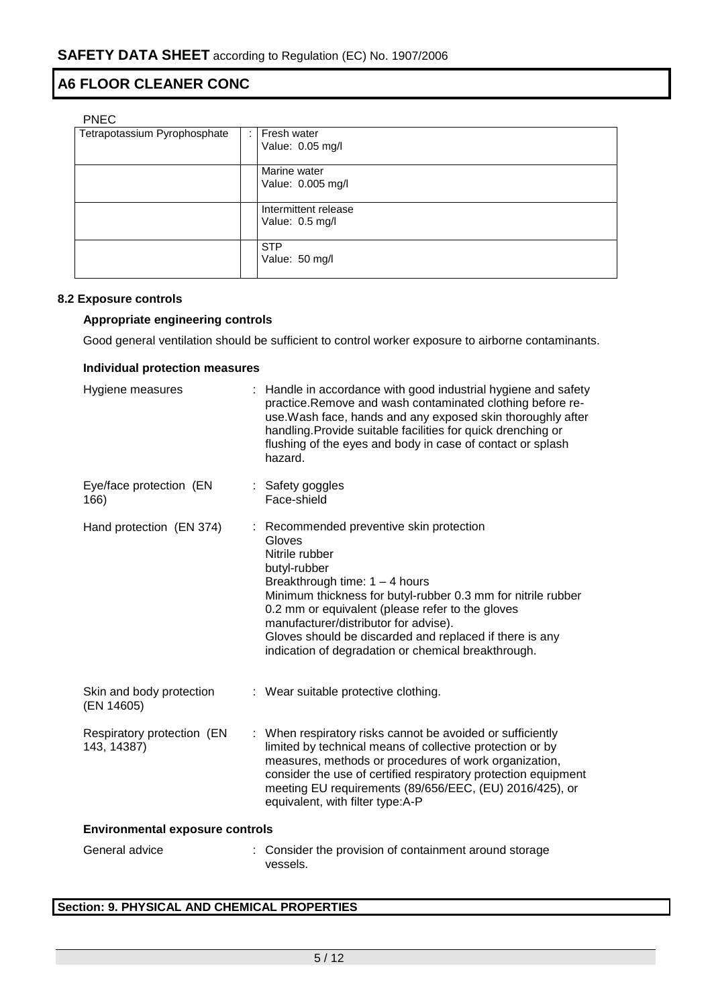| <b>PNEC</b>                  |   |                      |
|------------------------------|---|----------------------|
| Tetrapotassium Pyrophosphate | ÷ | Fresh water          |
|                              |   | Value: 0.05 mg/l     |
|                              |   |                      |
|                              |   | Marine water         |
|                              |   | Value: 0.005 mg/l    |
|                              |   |                      |
|                              |   | Intermittent release |
|                              |   | Value: 0.5 mg/l      |
|                              |   |                      |
|                              |   | <b>STP</b>           |
|                              |   | Value: 50 mg/l       |
|                              |   |                      |

# **8.2 Exposure controls**

### **Appropriate engineering controls**

Good general ventilation should be sufficient to control worker exposure to airborne contaminants.

| <b>Individual protection measures</b>     |                                                                                                                                                                                                                                                                                                                                                                                                         |  |  |  |
|-------------------------------------------|---------------------------------------------------------------------------------------------------------------------------------------------------------------------------------------------------------------------------------------------------------------------------------------------------------------------------------------------------------------------------------------------------------|--|--|--|
| Hygiene measures                          | : Handle in accordance with good industrial hygiene and safety<br>practice.Remove and wash contaminated clothing before re-<br>use. Wash face, hands and any exposed skin thoroughly after<br>handling. Provide suitable facilities for quick drenching or<br>flushing of the eyes and body in case of contact or splash<br>hazard.                                                                     |  |  |  |
| Eye/face protection (EN<br>166)           | : Safety goggles<br>Face-shield                                                                                                                                                                                                                                                                                                                                                                         |  |  |  |
| Hand protection (EN 374)                  | : Recommended preventive skin protection<br>Gloves<br>Nitrile rubber<br>butyl-rubber<br>Breakthrough time: $1 - 4$ hours<br>Minimum thickness for butyl-rubber 0.3 mm for nitrile rubber<br>0.2 mm or equivalent (please refer to the gloves<br>manufacturer/distributor for advise).<br>Gloves should be discarded and replaced if there is any<br>indication of degradation or chemical breakthrough. |  |  |  |
| Skin and body protection<br>(EN 14605)    | : Wear suitable protective clothing.                                                                                                                                                                                                                                                                                                                                                                    |  |  |  |
| Respiratory protection (EN<br>143, 14387) | : When respiratory risks cannot be avoided or sufficiently<br>limited by technical means of collective protection or by<br>measures, methods or procedures of work organization,<br>consider the use of certified respiratory protection equipment<br>meeting EU requirements (89/656/EEC, (EU) 2016/425), or<br>equivalent, with filter type:A-P                                                       |  |  |  |
| <b>Environmental exposure controls</b>    |                                                                                                                                                                                                                                                                                                                                                                                                         |  |  |  |
| General advice                            | : Consider the provision of containment around storage<br>vessels.                                                                                                                                                                                                                                                                                                                                      |  |  |  |

### **Section: 9. PHYSICAL AND CHEMICAL PROPERTIES**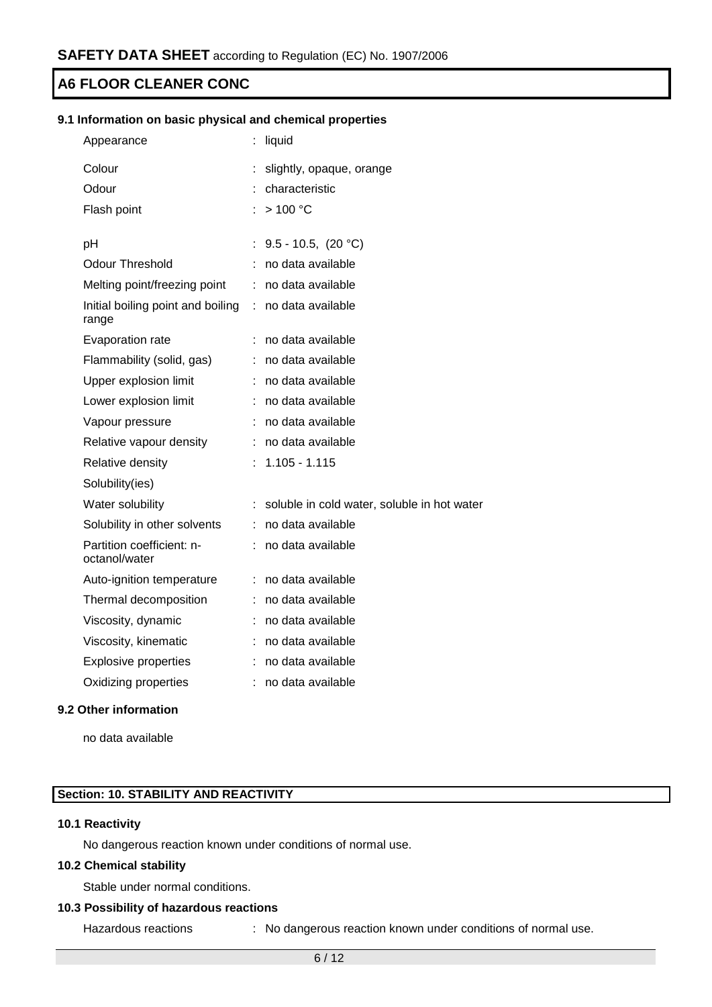### **9.1 Information on basic physical and chemical properties**

| Appearance                                 |    | liquid                                      |
|--------------------------------------------|----|---------------------------------------------|
| Colour                                     | t  | slightly, opaque, orange                    |
| Odour                                      |    | characteristic                              |
| Flash point                                |    | >100 °C                                     |
|                                            |    |                                             |
| pH                                         | t, | 9.5 - 10.5, $(20 °C)$                       |
| <b>Odour Threshold</b>                     |    | no data available                           |
| Melting point/freezing point               | t. | no data available                           |
| Initial boiling point and boiling<br>range | ÷. | no data available                           |
| Evaporation rate                           |    | no data available                           |
| Flammability (solid, gas)                  | t  | no data available                           |
| Upper explosion limit                      | ÷  | no data available                           |
| Lower explosion limit                      |    | no data available                           |
| Vapour pressure                            |    | no data available                           |
| Relative vapour density                    |    | no data available                           |
| Relative density                           | ŕ. | $1.105 - 1.115$                             |
| Solubility(ies)                            |    |                                             |
| Water solubility                           | t  | soluble in cold water, soluble in hot water |
| Solubility in other solvents               | t. | no data available                           |
| Partition coefficient: n-<br>octanol/water |    | no data available                           |
| Auto-ignition temperature                  | t. | no data available                           |
| Thermal decomposition                      |    | no data available                           |
| Viscosity, dynamic                         |    | no data available                           |
| Viscosity, kinematic                       |    | no data available                           |
| <b>Explosive properties</b>                | t. | no data available                           |
| Oxidizing properties                       | t  | no data available                           |
|                                            |    |                                             |

### **9.2 Other information**

no data available

### **Section: 10. STABILITY AND REACTIVITY**

### **10.1 Reactivity**

No dangerous reaction known under conditions of normal use.

### **10.2 Chemical stability**

Stable under normal conditions.

### **10.3 Possibility of hazardous reactions**

Hazardous reactions : No dangerous reaction known under conditions of normal use.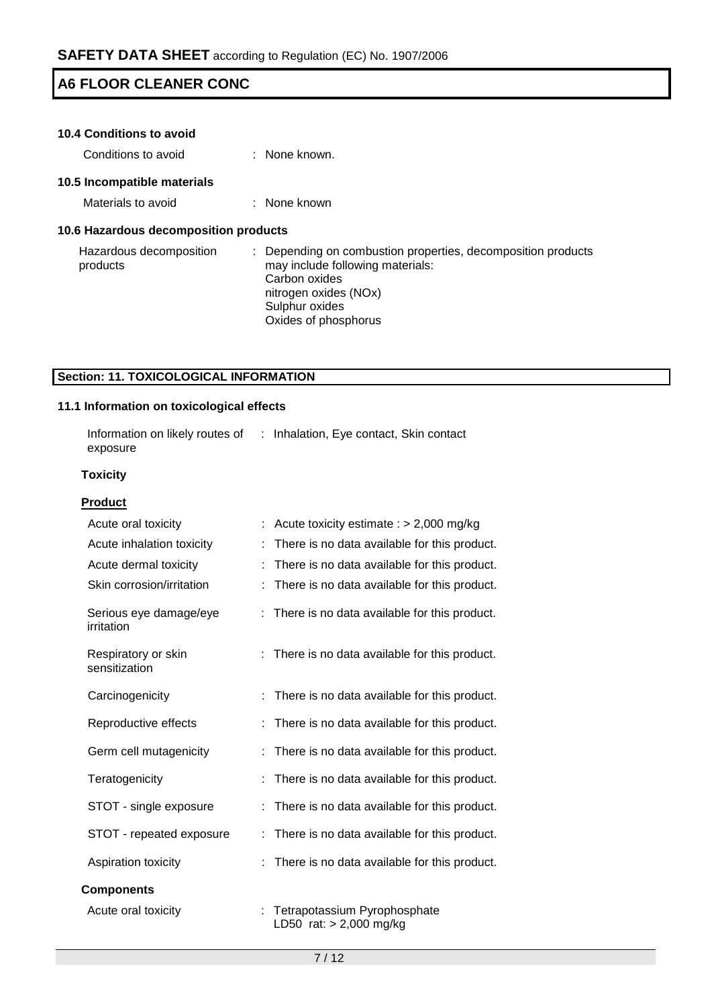| <b>10.4 Conditions to avoid</b>       |                                                                                                                                                                                    |
|---------------------------------------|------------------------------------------------------------------------------------------------------------------------------------------------------------------------------------|
| Conditions to avoid                   | $\therefore$ None known.                                                                                                                                                           |
| 10.5 Incompatible materials           |                                                                                                                                                                                    |
| Materials to avoid                    | $\therefore$ None known                                                                                                                                                            |
| 10.6 Hazardous decomposition products |                                                                                                                                                                                    |
| Hazardous decomposition<br>products   | Depending on combustion properties, decomposition products<br>may include following materials:<br>Carbon oxides<br>nitrogen oxides (NOx)<br>Sulphur oxides<br>Oxides of phosphorus |

### **Section: 11. TOXICOLOGICAL INFORMATION**

### **11.1 Information on toxicological effects**

| Information on likely routes of | : Inhalation, Eye contact, Skin contact |  |
|---------------------------------|-----------------------------------------|--|
| exposure                        |                                         |  |

### **Toxicity**

| <b>Product</b>                       |                                                         |
|--------------------------------------|---------------------------------------------------------|
| Acute oral toxicity                  | Acute toxicity estimate : $> 2,000$ mg/kg               |
| Acute inhalation toxicity            | There is no data available for this product.            |
| Acute dermal toxicity                | There is no data available for this product.            |
| Skin corrosion/irritation            | There is no data available for this product.            |
| Serious eye damage/eye<br>irritation | There is no data available for this product.<br>÷       |
| Respiratory or skin<br>sensitization | There is no data available for this product.<br>÷.      |
| Carcinogenicity                      | There is no data available for this product.<br>÷       |
| Reproductive effects                 | There is no data available for this product.            |
| Germ cell mutagenicity               | There is no data available for this product.            |
| Teratogenicity                       | There is no data available for this product.            |
| STOT - single exposure               | There is no data available for this product.            |
| STOT - repeated exposure             | There is no data available for this product.            |
| Aspiration toxicity                  | There is no data available for this product.            |
| <b>Components</b>                    |                                                         |
| Acute oral toxicity                  | Tetrapotassium Pyrophosphate<br>LD50 rat: > 2,000 mg/kg |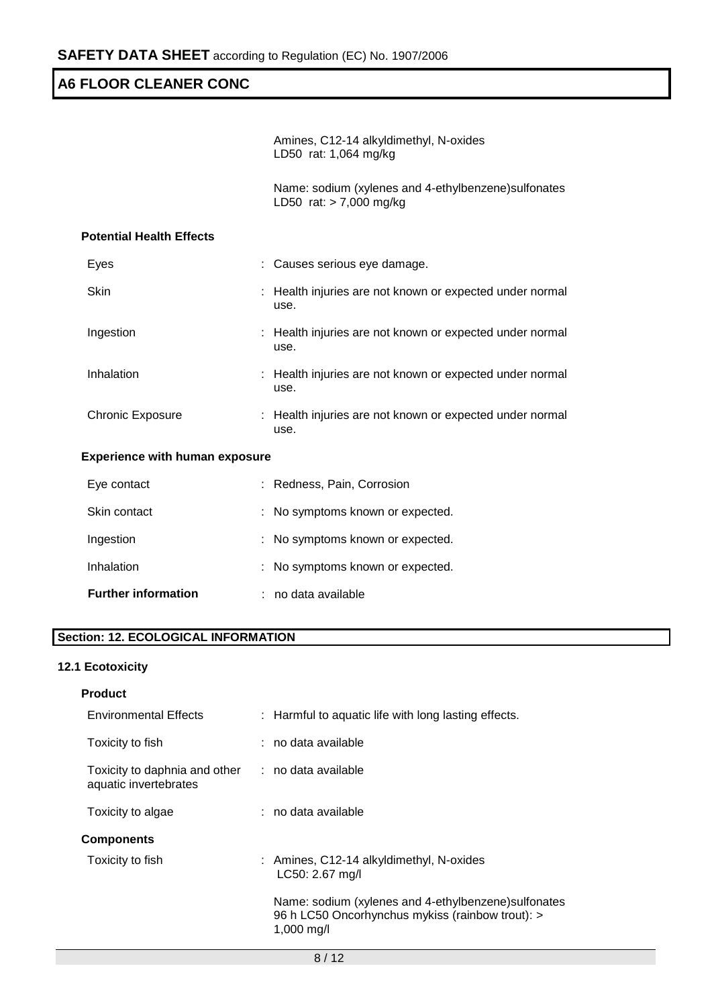Amines, C12-14 alkyldimethyl, N-oxides LD50 rat: 1,064 mg/kg

Name: sodium (xylenes and 4-ethylbenzene)sulfonates LD50 rat: > 7,000 mg/kg

### **Potential Health Effects**

| Eyes             | : Causes serious eye damage.                                     |
|------------------|------------------------------------------------------------------|
| <b>Skin</b>      | : Health injuries are not known or expected under normal<br>use. |
| Ingestion        | : Health injuries are not known or expected under normal<br>use. |
| Inhalation       | : Health injuries are not known or expected under normal<br>use. |
| Chronic Exposure | : Health injuries are not known or expected under normal<br>use. |

### **Experience with human exposure**

| <b>Further information</b> | no data available                |
|----------------------------|----------------------------------|
| Inhalation                 | : No symptoms known or expected. |
| Ingestion                  | : No symptoms known or expected. |
| Skin contact               | : No symptoms known or expected. |
| Eye contact                | : Redness, Pain, Corrosion       |

### **Section: 12. ECOLOGICAL INFORMATION**

### **12.1 Ecotoxicity**

| <b>Product</b>                                                             |                                                                                                                        |
|----------------------------------------------------------------------------|------------------------------------------------------------------------------------------------------------------------|
| <b>Environmental Effects</b>                                               | : Harmful to aquatic life with long lasting effects.                                                                   |
| Toxicity to fish                                                           | : no data available                                                                                                    |
| Toxicity to daphnia and other : no data available<br>aquatic invertebrates |                                                                                                                        |
| Toxicity to algae                                                          | : no data available                                                                                                    |
| <b>Components</b>                                                          |                                                                                                                        |
| Toxicity to fish                                                           | : Amines, C12-14 alkyldimethyl, N-oxides<br>LC50: 2.67 mg/l                                                            |
|                                                                            | Name: sodium (xylenes and 4-ethylbenzene) sulfonates<br>96 h LC50 Oncorhynchus mykiss (rainbow trout): ><br>1,000 mg/l |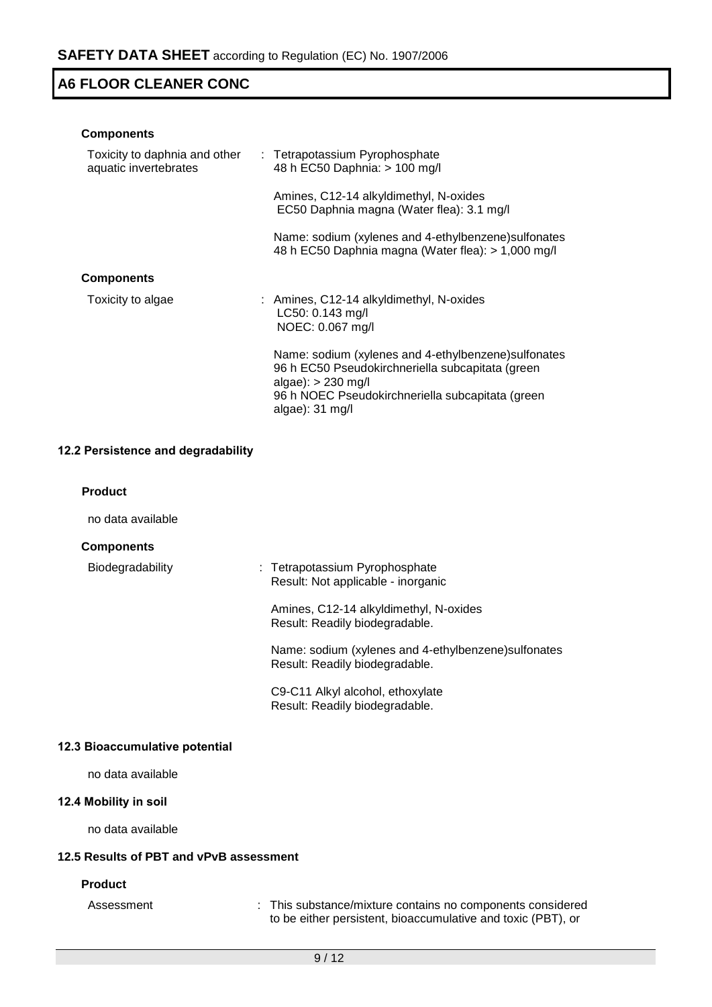| <b>Components</b>                                      |                                                                                                                                                                                                                   |
|--------------------------------------------------------|-------------------------------------------------------------------------------------------------------------------------------------------------------------------------------------------------------------------|
| Toxicity to daphnia and other<br>aquatic invertebrates | : Tetrapotassium Pyrophosphate<br>48 h EC50 Daphnia: > 100 mg/l                                                                                                                                                   |
|                                                        | Amines, C12-14 alkyldimethyl, N-oxides<br>EC50 Daphnia magna (Water flea): 3.1 mg/l                                                                                                                               |
|                                                        | Name: sodium (xylenes and 4-ethylbenzene) sulfonates<br>48 h EC50 Daphnia magna (Water flea): > 1,000 mg/l                                                                                                        |
| <b>Components</b>                                      |                                                                                                                                                                                                                   |
| Toxicity to algae                                      | : Amines, C12-14 alkyldimethyl, N-oxides<br>LC50: 0.143 mg/l<br>NOEC: 0.067 mg/l                                                                                                                                  |
|                                                        | Name: sodium (xylenes and 4-ethylbenzene) sulfonates<br>96 h EC50 Pseudokirchneriella subcapitata (green<br>algae): $> 230$ mg/l<br>96 h NOEC Pseudokirchneriella subcapitata (green<br>algae): $31 \text{ mg/l}$ |
|                                                        |                                                                                                                                                                                                                   |

### **12.2 Persistence and degradability**

### **Product**

no data available

### **Components**

# Biodegradability : Tetrapotassium Pyrophosphate Result: Not applicable - inorganic

Amines, C12-14 alkyldimethyl, N-oxides Result: Readily biodegradable.

Name: sodium (xylenes and 4-ethylbenzene)sulfonates Result: Readily biodegradable.

C9-C11 Alkyl alcohol, ethoxylate Result: Readily biodegradable.

### **12.3 Bioaccumulative potential**

no data available

### **12.4 Mobility in soil**

no data available

### **12.5 Results of PBT and vPvB assessment**

### **Product**

Assessment : This substance/mixture contains no components considered to be either persistent, bioaccumulative and toxic (PBT), or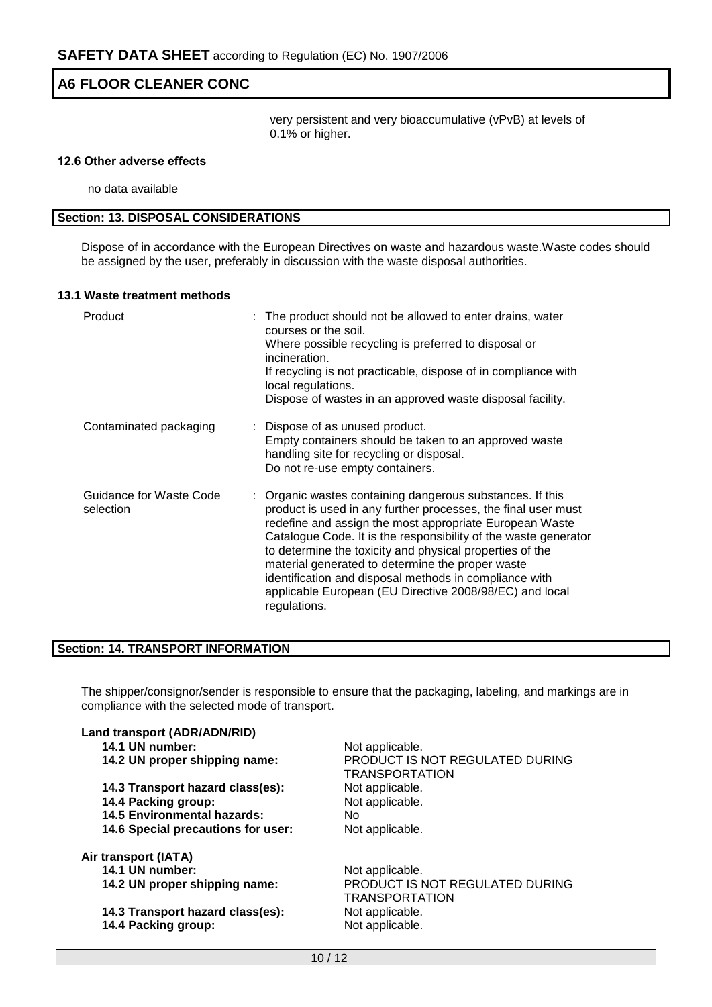very persistent and very bioaccumulative (vPvB) at levels of 0.1% or higher.

#### **12.6 Other adverse effects**

no data available

### **Section: 13. DISPOSAL CONSIDERATIONS**

Dispose of in accordance with the European Directives on waste and hazardous waste.Waste codes should be assigned by the user, preferably in discussion with the waste disposal authorities.

#### **13.1 Waste treatment methods**

| Product                              | : The product should not be allowed to enter drains, water<br>courses or the soil.<br>Where possible recycling is preferred to disposal or<br>incineration.<br>If recycling is not practicable, dispose of in compliance with<br>local regulations.<br>Dispose of wastes in an approved waste disposal facility.                                                                                                                                                                                              |
|--------------------------------------|---------------------------------------------------------------------------------------------------------------------------------------------------------------------------------------------------------------------------------------------------------------------------------------------------------------------------------------------------------------------------------------------------------------------------------------------------------------------------------------------------------------|
| Contaminated packaging               | : Dispose of as unused product.<br>Empty containers should be taken to an approved waste<br>handling site for recycling or disposal.<br>Do not re-use empty containers.                                                                                                                                                                                                                                                                                                                                       |
| Guidance for Waste Code<br>selection | : Organic wastes containing dangerous substances. If this<br>product is used in any further processes, the final user must<br>redefine and assign the most appropriate European Waste<br>Catalogue Code. It is the responsibility of the waste generator<br>to determine the toxicity and physical properties of the<br>material generated to determine the proper waste<br>identification and disposal methods in compliance with<br>applicable European (EU Directive 2008/98/EC) and local<br>regulations. |

### **Section: 14. TRANSPORT INFORMATION**

The shipper/consignor/sender is responsible to ensure that the packaging, labeling, and markings are in compliance with the selected mode of transport.

| Land transport (ADR/ADN/RID)       |                                                          |
|------------------------------------|----------------------------------------------------------|
| 14.1 UN number:                    | Not applicable.                                          |
| 14.2 UN proper shipping name:      | PRODUCT IS NOT REGULATED DURING<br><b>TRANSPORTATION</b> |
| 14.3 Transport hazard class(es):   | Not applicable.                                          |
| 14.4 Packing group:                | Not applicable.                                          |
| <b>14.5 Environmental hazards:</b> | No.                                                      |
| 14.6 Special precautions for user: | Not applicable.                                          |
| Air transport (IATA)               |                                                          |
| 14.1 UN number:                    | Not applicable.                                          |
| 14.2 UN proper shipping name:      | PRODUCT IS NOT REGULATED DURING<br><b>TRANSPORTATION</b> |
| 14.3 Transport hazard class(es):   | Not applicable.                                          |
| 14.4 Packing group:                | Not applicable.                                          |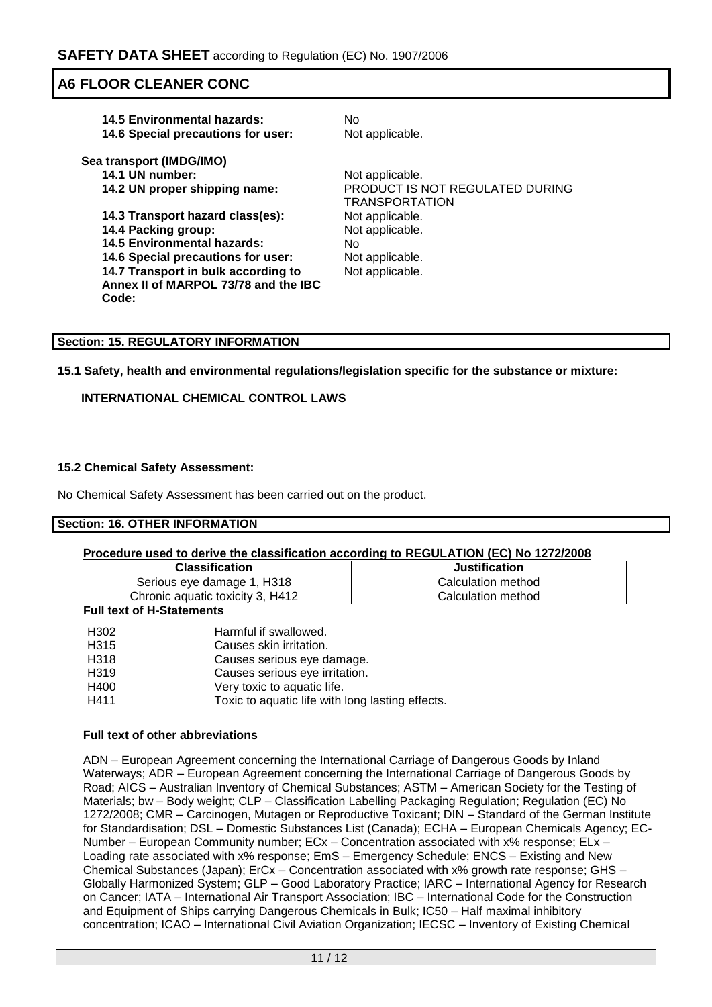| <b>14.5 Environmental hazards:</b><br>14.6 Special precautions for user: | No.<br>Not applicable.                                   |
|--------------------------------------------------------------------------|----------------------------------------------------------|
| Sea transport (IMDG/IMO)                                                 |                                                          |
| 14.1 UN number:                                                          | Not applicable.                                          |
| 14.2 UN proper shipping name:                                            | PRODUCT IS NOT REGULATED DURING<br><b>TRANSPORTATION</b> |
| 14.3 Transport hazard class(es):                                         | Not applicable.                                          |
| 14.4 Packing group:                                                      | Not applicable.                                          |
| <b>14.5 Environmental hazards:</b>                                       | No.                                                      |
| 14.6 Special precautions for user:                                       | Not applicable.                                          |
| 14.7 Transport in bulk according to                                      | Not applicable.                                          |
| Annex II of MARPOL 73/78 and the IBC                                     |                                                          |
| Code:                                                                    |                                                          |
|                                                                          |                                                          |

### **Section: 15. REGULATORY INFORMATION**

### **15.1 Safety, health and environmental regulations/legislation specific for the substance or mixture:**

### **INTERNATIONAL CHEMICAL CONTROL LAWS**

### **15.2 Chemical Safety Assessment:**

No Chemical Safety Assessment has been carried out on the product.

### **Section: 16. OTHER INFORMATION**

### **Procedure used to derive the classification according to REGULATION (EC) No 1272/2008**

| <b>Classification</b>            | <b>Justification</b> |
|----------------------------------|----------------------|
| Serious eye damage 1, H318       | Calculation method   |
| Chronic aguatic toxicity 3, H412 | Calculation method   |
|                                  |                      |

#### **Full text of H-Statements**

| H <sub>302</sub> | Harmful if swallowed.                            |
|------------------|--------------------------------------------------|
| H315             | Causes skin irritation.                          |
| H318             | Causes serious eye damage.                       |
| H <sub>319</sub> | Causes serious eye irritation.                   |
| H400             | Very toxic to aquatic life.                      |
| H411             | Toxic to aquatic life with long lasting effects. |

### **Full text of other abbreviations**

ADN – European Agreement concerning the International Carriage of Dangerous Goods by Inland Waterways; ADR – European Agreement concerning the International Carriage of Dangerous Goods by Road; AICS – Australian Inventory of Chemical Substances; ASTM – American Society for the Testing of Materials; bw - Body weight; CLP - Classification Labelling Packaging Regulation; Regulation (EC) No 1272/2008; CMR – Carcinogen, Mutagen or Reproductive Toxicant; DIN – Standard of the German Institute for Standardisation; DSL – Domestic Substances List (Canada); ECHA – European Chemicals Agency; EC-Number – European Community number; ECx – Concentration associated with x% response; ELx – Loading rate associated with x% response; EmS – Emergency Schedule; ENCS – Existing and New Chemical Substances (Japan); ErCx – Concentration associated with x% growth rate response; GHS – Globally Harmonized System; GLP – Good Laboratory Practice; IARC – International Agency for Research on Cancer; IATA – International Air Transport Association; IBC – International Code for the Construction and Equipment of Ships carrying Dangerous Chemicals in Bulk; IC50 – Half maximal inhibitory concentration; ICAO – International Civil Aviation Organization; IECSC – Inventory of Existing Chemical